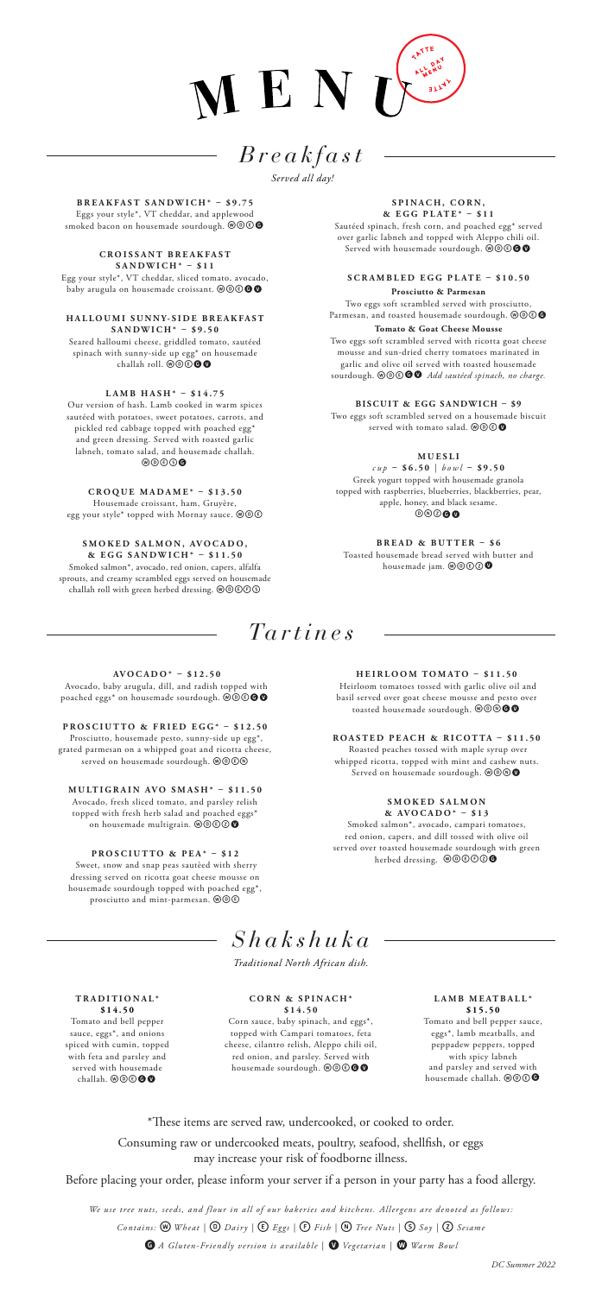

# *Breakfast*

*Served all day!*

**BREAKFAST SANDWICH\* – \$9.75** Eggs your style\*, VT cheddar, and applewood<br>smoked bacon on housemade sourdough. @@©@

**C R O I S S A N T B R E A K F A S T SANDWICH\* – \$11** Egg your style\*, VT cheddar, sliced tomato, avocado,<br>baby arugula on housemade croissant. @@©**@@** 

**H A L L O U M I S U N N Y- S I D E B R E A K F A S T SANDWICH\* – \$9.50** Seared halloumi cheese, griddled tomato, sautéed

spinach with sunny-side up egg\* on housemade<br>challah roll. @@**@@** 

**LAMB HASH\* – \$14.75**

Our version of hash. Lamb cooked in warm spices sautéed with potatoes, sweet potatoes, carrots, and pickled red cabbage topped with poached egg\* and green dressing. Served with roasted garlic labneh, tomato salad, and housemade challah. www.

**CROQUE MADAME\* – \$13.50**

Housemade croissant, ham, Gruyère,<br>egg your style\* topped with Mornay sauce. @@©

SMOKED SALMON, AVOCADO, **& EGG SANDWICH\* – \$11.50** Smoked salmon\*, avocado, red onion, capers, alfalfa sprouts, and creamy scrambled eggs served on housemade challah roll with green herbed dressing.  $\textcircled{\textcircled{\tiny{0}}}$ 

SPINACH, CORN, **& EGG PLATE\* – \$11**

Sautéed spinach, fresh corn, and poached egg\* served over garlic labneh and topped with Aleppo chili oil.<br>Served with housemade sourdough. @@©**@@** 

**SCRAMBLED EGG PLATE – \$10.50 Prosciutto & Parmesan**

Two eggs soft scrambled served with prosciutto, Parmesan, and toasted housemade sourdough. @ @ 6 **Tomato & Goat Cheese Mousse** Two eggs soft scrambled served with ricotta goat cheese

mousse and sun-dried cherry tomatoes marinated in garlic and olive oil served with toasted housemade sourdough. @@<sup>@</sup> **@** *Add sautéed spinach, no charge.* 

**BISCUIT & EGG SANDWICH – \$9**

Two eggs soft scrambled served on a housemade biscuit served with tomato salad.  $\textcircled{\o} \textcircled{\bullet}$ 

**M U E S L I** 

*cup* **– \$6.50** | *bowl* **– \$9.50** Greek yogurt topped with housemade granola topped with raspberries, blueberries, blackberries, pear, apple, honey, and black sesame.<br>  $\circledcirc \circledcirc \bullet$ 

**BREAD & BUTTER – \$6** Toasted housemade bread served with butter and housemade jam. @@**@@** 

### *Tartines*

**AVOCADO\* – \$12.50** Avocado, baby arugula, dill, and radish topped with poached eggs\* on housemade sourdough. @@ $\textcircled{\bullet}$ 

**PROSCIUTTO & FRIED EGG\* – \$12.50** Prosciutto, housemade pesto, sunny-side up egg\*, grated parmesan on a whipped goat and ricotta cheese,<br>served on housemade sourdough. @@@@

**MULTIGRAIN AVO SMASH\* – \$11.50** Avocado, fresh sliced tomato, and parsley relish topped with fresh herb salad and poached eggs\*<br>on housemade multigrain. **@@@@** 

**PROSCIUTTO & PEA\* – \$12**

 Sweet, snow and snap peas sautèed with sherry dressing served on ricotta goat cheese mousse on housemade sourdough topped with poached egg\*, prosciutto and mint-parmesan.  $\circledast\circledast$ 

**HEIRLOOM TOMATO – \$11.50** Heirloom tomatoes tossed with garlic olive oil and basil served over goat cheese mousse and pesto over toasted housemade sourdough.  $@@@@@@$ 

**ROASTED PEACH & RICOTTA – \$11.50** Roasted peaches tossed with maple syrup over whipped ricotta, topped with mint and cashew nuts.<br>Served on housemade sourdough.  $\textcircled{}}\textcircled{}}$ 

> **S M O K E D S A L M O N & AVOCADO\* – \$13**

Smoked salmon\*, avocado, campari tomatoes, red onion, capers, and dill tossed with olive oil served over toasted housemade sourdough with green herbed dressing. @@@O@

## *Shakshuka*

*Traditional North African dish.*

**TRADITIONAL\* \$14.50** Tomato and bell pepper sauce, eggs\*, and onions spiced with cumin, topped with feta and parsley and served with housemade challah. @@©**@@** 

**CORN & SPINACH\*** 

**\$ 1 4 . 5 0**  Corn sauce, baby spinach, and eggs\*, topped with Campari tomatoes, feta cheese, cilantro relish, Aleppo chili oil, red onion, and parsley. Served with<br>housemade sourdough. @@©**@@** 

**LAMB MEATBALL\* \$15.50** Tomato and bell pepper sauce, eggs\*, lamb meatballs, and peppadew peppers, topped with spicy labneh and parsley and served with housemade challah. @ **@ @** 

\*These items are served raw, undercooked, or cooked to order.

Consuming raw or undercooked meats, poultry, seafood, shellfish, or eggs may increase your risk of foodborne illness.

Before placing your order, please inform your server if a person in your party has a food allergy.

*We use tree nuts, seeds, and flour in all of our bakeries and kitchens. Allergens are denoted as follows: Contains:* w *Wheat |* D *Dairy |* E*Eggs |* F*Fish |* n*Tree Nuts |* S*Soy |* Z*Sesame*  **G** A Gluten-Friendly version is available  $\vert$  **W** Vegetarian  $\vert$  **W** Warm Bowl